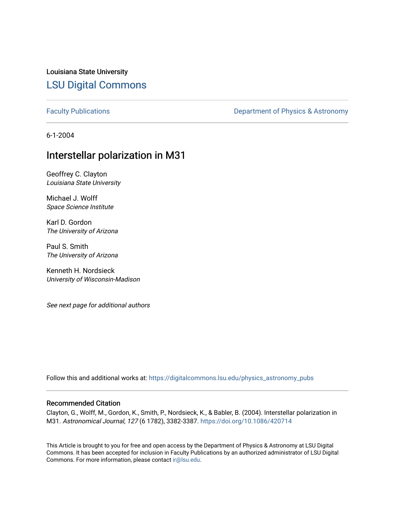Louisiana State University [LSU Digital Commons](https://digitalcommons.lsu.edu/)

[Faculty Publications](https://digitalcommons.lsu.edu/physics_astronomy_pubs) **Exercise 2 and Table 2 and Table 2 and Table 2 and Table 2 and Table 2 and Table 2 and Table 2 and Table 2 and Table 2 and Table 2 and Table 2 and Table 2 and Table 2 and Table 2 and Table 2 and Table** 

6-1-2004

# Interstellar polarization in M31

Geoffrey C. Clayton Louisiana State University

Michael J. Wolff Space Science Institute

Karl D. Gordon The University of Arizona

Paul S. Smith The University of Arizona

Kenneth H. Nordsieck University of Wisconsin-Madison

See next page for additional authors

Follow this and additional works at: [https://digitalcommons.lsu.edu/physics\\_astronomy\\_pubs](https://digitalcommons.lsu.edu/physics_astronomy_pubs?utm_source=digitalcommons.lsu.edu%2Fphysics_astronomy_pubs%2F905&utm_medium=PDF&utm_campaign=PDFCoverPages) 

## Recommended Citation

Clayton, G., Wolff, M., Gordon, K., Smith, P., Nordsieck, K., & Babler, B. (2004). Interstellar polarization in M31. Astronomical Journal, 127 (6 1782), 3382-3387. <https://doi.org/10.1086/420714>

This Article is brought to you for free and open access by the Department of Physics & Astronomy at LSU Digital Commons. It has been accepted for inclusion in Faculty Publications by an authorized administrator of LSU Digital Commons. For more information, please contact [ir@lsu.edu](mailto:ir@lsu.edu).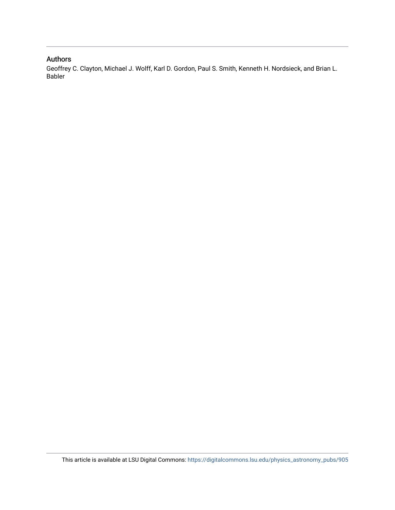# Authors

Geoffrey C. Clayton, Michael J. Wolff, Karl D. Gordon, Paul S. Smith, Kenneth H. Nordsieck, and Brian L. Babler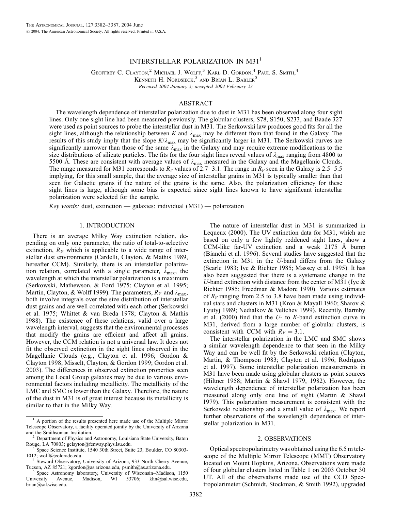### INTERSTELLAR POLARIZATION IN M31<sup>1</sup>

GEOFFREY C. CLAYTON,<sup>2</sup> MICHAEL J. WOLFF,<sup>3</sup> KARL D. GORDON,<sup>4</sup> PAUL S. SMITH,<sup>4</sup> KENNETH H. NORDSIECK,<sup>5</sup> AND BRIAN L. BABLER<sup>5</sup> Recei*v*ed 2004 January 5; accepted 2004 February 23

#### ABSTRACT

The wavelength dependence of interstellar polarization due to dust in M31 has been observed along four sight lines. Only one sight line had been measured previously. The globular clusters, S78, S150, S233, and Baade 327 were used as point sources to probe the interstellar dust in M31. The Serkowski law produces good fits for all the sight lines, although the relationship between K and  $\lambda_{\text{max}}$  may be different from that found in the Galaxy. The results of this study imply that the slope  $K/\lambda_{\text{max}}$  may be significantly larger in M31. The Serkowski curves are significantly narrower than those of the same  $\lambda_{\text{max}}$  in the Galaxy and may require extreme modifications to the size distributions of silicate particles. The fits for the four sight lines reveal values of  $\lambda_{\text{max}}$  ranging from 4800 to 5500 Å. These are consistent with average values of  $\lambda_{\text{max}}$  measured in the Galaxy and the Magellanic Clouds. The range measured for M31 corresponds to  $R_V$  values of 2.7–3.1. The range in  $R_V$  seen in the Galaxy is 2.5–5.5 implying, for this small sample, that the average size of interstellar grains in M31 is typically smaller than that seen for Galactic grains if the nature of the grains is the same. Also, the polarization efficiency for these sight lines is large, although some bias is expected since sight lines known to have significant interstellar polarization were selected for the sample.

Key words: dust, extinction — galaxies: individual  $(M31)$  — polarization

#### 1. INTRODUCTION

There is an average Milky Way extinction relation, depending on only one parameter, the ratio of total-to-selective extinction,  $R<sub>V</sub>$ , which is applicable to a wide range of interstellar dust environments (Cardelli, Clayton, & Mathis 1989, hereafter CCM). Similarly, there is an interstellar polarization relation, correlated with a single parameter,  $\lambda_{\text{max}}$ , the wavelength at which the interstellar polarization is a maximum (Serkowski, Mathewson, & Ford 1975; Clayton et al. 1995; Martin, Clayton, & Wolff 1999). The parameters,  $R_V$  and  $\lambda_{\text{max}}$ , both involve integrals over the size distribution of interstellar dust grains and are well correlated with each other (Serkowski et al. 1975; Whittet & van Breda 1978; Clayton & Mathis 1988). The existence of these relations, valid over a large wavelength interval, suggests that the environmental processes that modify the grains are efficient and affect all grains. However, the CCM relation is not a universal law. It does not fit the observed extinction in the sight lines observed in the Magellanic Clouds (e.g., Clayton et al. 1996; Gordon & Clayton 1998; Misselt, Clayton, & Gordon 1999; Gordon et al. 2003). The differences in observed extinction properties seen among the Local Group galaxies may be due to various environmental factors including metallicity. The metallicity of the LMC and SMC is lower than the Galaxy. Therefore, the nature of the dust in M31 is of great interest because its metallicity is similar to that in the Milky Way.

Space Astronomy laboratory, University of Wisconsin-Madison, 1150 University Avenue, Madison, WI 53706; khn@sal.wisc.edu, brian@sal.wisc.edu.

The nature of interstellar dust in M31 is summarized in Lequeux (2000). The UV extinction data for M31, which are based on only a few lightly reddened sight lines, show a CCM-like far-UV extinction and a weak  $2175$  Å bump (Bianchi et al. 1996). Several studies have suggested that the extinction in M31 in the U-band differs from the Galaxy (Searle 1983; Iye & Richter 1985; Massey et al. 1995). It has also been suggested that there is a systematic change in the U-band extinction with distance from the center of M31 (Iye  $\&$ Richter 1985; Freedman & Madore 1990). Various estimates of  $R_V$  ranging from 2.5 to 3.8 have been made using individual stars and clusters in M31 (Kron & Mayall 1960; Sharov & Lyutyj 1989; Nedialkov & Veltchev 1999). Recently, Barmby et al.  $(2000)$  find that the U- to K-band extinction curve in M31, derived from a large number of globular clusters, is consistent with CCM with  $R_V = 3.1$ .

The interstellar polarization in the LMC and SMC shows a similar wavelength dependence to that seen in the Milky Way and can be well fit by the Serkowski relation (Clayton, Martin, & Thompson 1983; Clayton et al. 1996; Rodrigues et al. 1997). Some interstellar polarization measurements in M31 have been made using globular clusters as point sources (Hiltner 1958; Martin & Shawl 1979, 1982). However, the wavelength dependence of interstellar polarization has been measured along only one line of sight (Martin & Shawl 1979). This polarization measurement is consistent with the Serkowski relationship and a small value of  $\lambda_{\text{max}}$ . We report further observations of the wavelength dependence of interstellar polarization in M31.

#### 2. OBSERVATIONS

Optical spectropolarimetry was obtained using the 6.5 m telescope of the Multiple Mirror Telescope (MMT) Observatory located on Mount Hopkins, Arizona. Observations were made of four globular clusters listed in Table 1 on 2003 October 30 UT. All of the observations made use of the CCD Spectropolarimeter (Schmidt, Stockman, & Smith 1992), upgraded

<sup>1</sup> A portion of the results presented here made use of the Multiple Mirror Telescope Observatory, a facility operated jointly by the University of Arizona<br>and the Smithsonian Institution.<br>
<sup>2</sup> Department of Physics and Astronomy, Louisian State University, Pater

<sup>&</sup>lt;sup>2</sup> Department of Physics and Astronomy, Louisiana State University, Baton Rouge, LA 70803; gclayton@fenway.phys.lsu.edu.

 $3\degree$ Space Science Institute, 1540 30th Street, Suite 23, Boulder, CO 80303-1012; wolff@colorado.edu.

<sup>&</sup>lt;sup>4</sup> Steward Observatory, University of Arizona, 933 North Cherry Avenue, Tucson, AZ 85721; kgordon@as.arizona.edu, psmith@as.arizona.edu.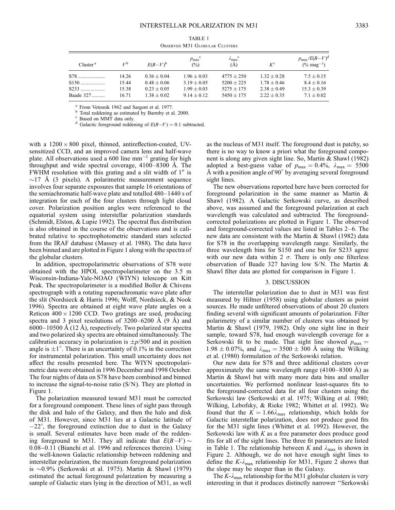| OBSERVED M31 GLOBULAR CLUSTERS |                  |                 |                                               |                                 |                 |                                                      |
|--------------------------------|------------------|-----------------|-----------------------------------------------|---------------------------------|-----------------|------------------------------------------------------|
| Cluster <sup>a</sup>           | $V^{\mathsf{b}}$ | $E(B-V)^b$      | $p_{\text{max}}^{\text{c}}$<br>$\binom{0}{0}$ | $\lambda_{\max}^{\rm c}$<br>(Å) | $K^{\rm c}$     | $p_{\text{max}}/E(B-V)^d$<br>$(\% \text{ mag}^{-1})$ |
| S78                            | 14.26            | $0.36 \pm 0.04$ | $1.96 \pm 0.03$                               | $4775 + 250$                    | $1.32 + 0.28$   | $7.5 \pm 0.15$                                       |
| $S150$                         | 15.44            | $0.48 \pm 0.06$ | $3.19 \pm 0.05$                               | $5200 \pm 225$                  | $1.78 \pm 0.46$ | $8.4 \pm 0.16$                                       |
| $S233$                         | 15.38            | $0.23 \pm 0.05$ | $1.99 + 0.03$                                 | $5275 \pm 175$                  | $2.38 + 0.49$   | $15.3 \pm 0.39$                                      |
| Baade 327                      | 16.71            | $1.38 \pm 0.02$ | $9.14 \pm 0.12$                               | $5450 \pm 175$                  | $2.22 \pm 0.35$ | $7.1 \pm 0.02$                                       |

TABLE 1 Observed M31 Globular Clusters

<sup>a</sup> From Vetesnik 1962 and Sargent et al. 1977.<br><sup>b</sup> Total reddening as estimated by Barmby et al. 2000.<br>c Based on MMT data only.<br>d Galactic foreground reddening of  $E(B-V) = 0.1$  subtracted.

with a  $1200 \times 800$  pixel, thinned, antireflection-coated, UVsensitized CCD, and an improved camera lens and half-wave plate. All observations used a 600 line  $mm^{-1}$  grating for high throughput and wide spectral coverage,  $4100-8300$  Å. The FWHM resolution with this grating and a slit width of  $1<sup>′</sup>$  is  $\sim$ 17 Å (3 pixels). A polarimetric measurement sequence involves four separate exposures that sample 16 orientations of the semiachromatic half-wave plate and totalled 480–1440 s of integration for each of the four clusters through light cloud cover. Polarization position angles were referenced to the equatorial system using interstellar polarization standards (Schmidt, Elston, & Lupie 1992). The spectral flux distribution is also obtained in the course of the observations and is calibrated relative to spectrophotometric standard stars selected from the IRAF database (Massey et al. 1988). The data have been binned and are plotted in Figure 1 along with the spectra of the globular clusters.

In addition, spectropolarimetric observations of S78 were obtained with the HPOL spectropolarimeter on the 3.5 m Wisconsin-Indiana-Yale-NOAO (WIYN) telescope on Kitt Peak. The spectropolarimeter is a modified Boller & Chivens spectrograph with a rotating superachromatic wave plate after the slit (Nordsieck & Harris 1996; Wolff, Nordsieck, & Nook 1996). Spectra are obtained at eight wave plate angles on a Reticon  $400 \times 1200$  CCD. Two gratings are used, producing spectra and 3 pixel resolutions of  $3200-6200$  Å  $(9 \text{ Å})$  and  $6000-10500$  Å  $(12 \text{ Å})$ , respectively. Two polarized star spectra and two polarized sky spectra are obtained simultaneously. The calibration accuracy in polarization is  $\pm p/500$  and in position angle is  $\pm 1^{\circ}$ . There is an uncertainty of 0.1% in the correction for instrumental polarization. This small uncertainty does not affect the results presented here. The WIYN spectropolarimetric data were obtained in 1996 December and 1998 October. The four nights of data on S78 have been combined and binned to increase the signal-to-noise ratio (S/N). They are plotted in Figure 1.

The polarization measured toward M31 must be corrected for a foreground component. These lines of sight pass through the disk and halo of the Galaxy, and then the halo and disk of M31. However, since M31 lies at a Galactic latitude of  $-22^{\circ}$ , the foreground extinction due to dust in the Galaxy is small. Several estimates have been made of the reddening foreground to M31. They all indicate that  $E(B-V) \sim$ 0:08 0:11 (Bianchi et al. 1996 and references therein). Using the well-known Galactic relationship between reddening and interstellar polarization, the maximum foreground polarization is -0.9% (Serkowski et al. 1975). Martin & Shawl (1979) estimated the actual foreground polarization by measuring a sample of Galactic stars lying in the direction of M31, as well

as the nucleus of M31 itself. The foreground dust is patchy, so there is no way to know a priori what the foreground component is along any given sight line. So, Martin & Shawl (1982) adopted a best-guess value of  $p_{\text{max}} = 0.4\%$ ,  $\lambda_{\text{max}} = 5500$ Å with a position angle of 90 $^{\circ}$  by averaging several foreground sight lines.

The new observations reported here have been corrected for foreground polarization in the same manner as Martin & Shawl (1982). A Galactic Serkowski curve, as described above, was assumed and the foreground polarization at each wavelength was calculated and subtracted. The foregroundcorrected polarizations are plotted in Figure 1. The observed and foreground-corrected values are listed in Tables 2–6. The new data are consistent with the Martin & Shawl (1982) data for S78 in the overlapping wavelength range. Similarly, the three wavelength bins for S150 and one bin for S233 agree with our new data within 2  $\sigma$ . There is only one filterless observation of Baade 327 having low S/N. The Martin & Shawl filter data are plotted for comparison in Figure 1.

#### 3. DISCUSSION

The interstellar polarization due to dust in M31 was first measured by Hiltner (1958) using globular clusters as point sources. He made unfiltered observations of about 20 clusters finding several with significant amounts of polarization. Filter polarimetry of a similar number of clusters was obtained by Martin & Shawl (1979, 1982). Only one sight line in their sample, toward S78, had enough wavelength coverage for a Serkowski fit to be made. That sight line showed  $p_{\text{max}} =$  $1.98 \pm 0.07\%$ , and  $\lambda_{\text{max}} = 3500 \pm 300$  Å using the Wilking et al. (1980) formulation of the Serkowski relation.

Our new data for S78 and three additional clusters cover approximately the same wavelength range  $(4100-8300 \text{ Å})$  as Martin & Shawl but with many more data bins and smaller uncertainties. We performed nonlinear least-squares fits to the foreground-corrected data for all four clusters using the Serkowski law (Serkowski et al. 1975; Wilking et al. 1980; Wilking, Lebofsky, & Rieke 1982; Whittet et al. 1992). We found that the  $K = 1.66\lambda_{\text{max}}$  relationship, which holds for Galactic interstellar polarization, does not produce good fits for the M31 sight lines (Whittet et al. 1992). However, the Serkowski law with  $K$  as a free parameter does produce good fits for all of the sight lines. The three fit parameters are listed in Table 1. The relationship between K and  $\lambda_{\text{max}}$  is shown in Figure 2. Although, we do not have enough sight lines to define the  $K-\lambda_{\text{max}}$  relationship for M31, Figure 2 shows that the slope may be steeper than in the Galaxy.

The  $K-\lambda_{\text{max}}$  relationship for the M31 globular clusters is very interesting in that it produces distinctly narrower ''Serkowski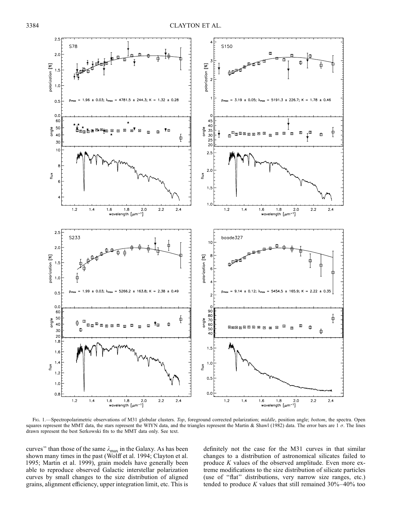

Fig. 1.—Spectropolarimetric observations of M31 globular clusters. Top, foreground corrected polarization; middle, position angle; bottom, the spectra. Open squares represent the MMT data, the stars represent the WIYN data, and the triangles represent the Martin & Shawl (1982) data. The error bars are  $1\sigma$ . The lines drawn represent the best Serkowski fits to the MMT data only. See text.

curves" than those of the same  $\lambda_{\text{max}}$  in the Galaxy. As has been shown many times in the past (Wolff et al. 1994; Clayton et al. 1995; Martin et al. 1999), grain models have generally been able to reproduce observed Galactic interstellar polarization curves by small changes to the size distribution of aligned grains, alignment efficiency, upper integration limit, etc. This is

definitely not the case for the M31 curves in that similar changes to a distribution of astronomical silicates failed to produce K values of the observed amplitude. Even more extreme modifications to the size distribution of silicate particles (use of ''flat'' distributions, very narrow size ranges, etc.) tended to produce  $K$  values that still remained  $30\% - 40\%$  too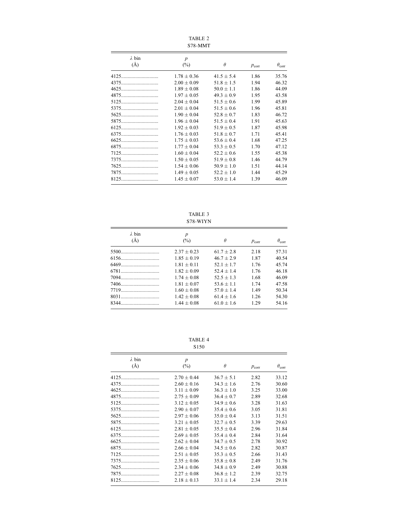| S78-MMT                  |                            |                |                   |                     |
|--------------------------|----------------------------|----------------|-------------------|---------------------|
| $\lambda$ bin<br>$(\AA)$ | $\boldsymbol{p}$<br>$(\%)$ | $\theta$       | $p_{\text{corr}}$ | $\theta_{\rm corr}$ |
| 4125.                    | $1.78 \pm 0.36$            | $41.5 \pm 5.4$ | 1.86              | 35.76               |
|                          | $2.00 \pm 0.09$            | $51.8 \pm 1.5$ | 1.94              | 46.32               |
|                          | $1.89 \pm 0.08$            | $50.0 \pm 1.1$ | 1.86              | 44.09               |
|                          | $1.97 \pm 0.05$            | $49.3 \pm 0.9$ | 1.95              | 43.58               |
|                          | $2.04 \pm 0.04$            | $51.5 \pm 0.6$ | 1.99              | 45.89               |
|                          | $2.01 \pm 0.04$            | $51.5 \pm 0.6$ | 1.96              | 45.81               |
|                          | $1.90 \pm 0.04$            | $52.8 \pm 0.7$ | 1.83              | 46.72               |
|                          | $1.96 \pm 0.04$            | $51.5 + 0.4$   | 1.91              | 45.63               |
|                          | $1.92 \pm 0.03$            | $51.9 \pm 0.5$ | 1.87              | 45.98               |
|                          | $1.76 \pm 0.03$            | $51.8 + 0.7$   | 1 7 1             | 45.41               |
|                          | $1.75 \pm 0.03$            | $53.6 \pm 0.4$ | 1.68              | 47.25               |
|                          | $1.77 \pm 0.04$            | $53.3 \pm 0.5$ | 1.70              | 47.12               |
| 7125                     | $1.60 \pm 0.04$            | $52.2 \pm 0.6$ | 1.55              | 45.38               |
| 7375                     | $1.50 \pm 0.05$            | $51.9 \pm 0.8$ | 1.46              | 44.79               |
|                          | $1.54 \pm 0.06$            | $50.9 \pm 1.0$ | 1.51              | 44.14               |
|                          | $1.49 \pm 0.05$            | $52.2 \pm 1.0$ | 1.44              | 45.29               |
|                          | $1.45 \pm 0.07$            | $53.0 \pm 1.4$ | 1.39              | 46.09               |

TABLE 2

TABLE 3 S78-WIYN

| $\lambda$ bin | $\boldsymbol{p}$ |              |                   |                     |
|---------------|------------------|--------------|-------------------|---------------------|
| (A)           | $(\%)$           | $\theta$     | $p_{\text{corr}}$ | $\theta_{\rm corr}$ |
|               | $2.37 + 0.23$    | $61.7 + 2.8$ | 2.18              | 57.31               |
|               | $1.85 + 0.19$    | $46.7 + 2.9$ | 1.87              | 40.54               |
|               | $1.81 + 0.11$    | $52.1 + 1.7$ | 1.76              | 45.74               |
|               | $1.82 + 0.09$    | $52.4 + 1.4$ | 1 76              | 46 18               |
|               | $1.74 + 0.08$    | $52.5 + 1.3$ | 1.68              | 46.09               |
|               | $1.81 + 0.07$    | $53.6 + 1.1$ | 1 74              | 47.58               |
|               | $1.60 + 0.08$    | $57.0 + 1.4$ | 1.49              | 50.34               |
|               | $1.42 + 0.08$    | $61.4 + 1.6$ | 1 26              | 54 30               |
|               | $1.44 + 0.08$    | $61.0 + 1.6$ | 1 29              | 54 16               |

TABLE 4 S150

| $\lambda$ bin | $\boldsymbol{p}$ |                |                   |                     |
|---------------|------------------|----------------|-------------------|---------------------|
| $(\AA)$       | $(\%)$           | $\theta$       | $p_{\text{corr}}$ | $\theta_{\rm corr}$ |
| 4125.         | $2.70 \pm 0.44$  | $36.7 \pm 5.1$ | 2.82              | 33.12               |
| 4375.<br>.    | $2.60 \pm 0.16$  | $34.3 \pm 1.6$ | 2.76              | 30.60               |
| 4625.         | $3.11 \pm 0.09$  | $36.3 \pm 1.0$ | 3.25              | 33.00               |
| 4875.         | $2.75 \pm 0.09$  | $36.4 \pm 0.7$ | 2.89              | 32.68               |
|               | $3.12 \pm 0.05$  | $34.9 \pm 0.6$ | 3.28              | 31.63               |
| 5375          | $2.90 \pm 0.07$  | $35.4 + 0.6$   | 3.05              | 31.81               |
| 5625.         | $2.97 \pm 0.06$  | $35.0 \pm 0.4$ | 3.13              | 31.51               |
| 5875          | $3.21 \pm 0.05$  | $32.7 \pm 0.5$ | 3.39              | 29.63               |
|               | $2.81 \pm 0.05$  | $35.5 \pm 0.4$ | 2.96              | 31.84               |
|               | $2.69 \pm 0.05$  | $35.4 \pm 0.4$ | 2.84              | 31.64               |
| 6625          | $2.62 \pm 0.04$  | $34.7 \pm 0.5$ | 2.78              | 30.92               |
| <u>6875</u>   | $2.66 \pm 0.04$  | $34.5 \pm 0.6$ | 2.82              | 30.87               |
|               | $2.51 \pm 0.05$  | $35.3 \pm 0.5$ | 2.66              | 31.43               |
| 7375          | $2.35 + 0.06$    | $35.8 \pm 0.8$ | 2.49              | 31.76               |
| 7625.         | $2.34 \pm 0.06$  | $34.8 \pm 0.9$ | 2.49              | 30.88               |
|               | $2.27 \pm 0.08$  | $36.8 \pm 1.2$ | 2.39              | 32.75               |
|               | $2.18 \pm 0.13$  | $33.1 \pm 1.4$ | 2.34              | 29.18               |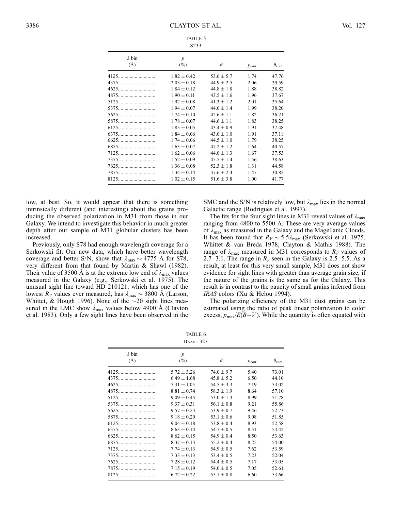| $\lambda$ bin<br>$(\AA)$ | $\boldsymbol{p}$<br>$(\%)$ | $\theta$       | $p_{\text{corr}}$ | $\theta_{\rm corr}$ |
|--------------------------|----------------------------|----------------|-------------------|---------------------|
|                          | $1.82 \pm 0.42$            | $53.6 \pm 5.7$ | 1.74              | 47.76               |
|                          | $2.03 \pm 0.18$            | $44.9 \pm 2.5$ | 2.06              | 39.59               |
|                          | $1.84 \pm 0.12$            | $44.8 \pm 1.8$ | 1.88              | 38.82               |
|                          | $1.90 \pm 0.11$            | $43.5 \pm 1.6$ | 1.96              | 37.67               |
|                          | $1.92 \pm 0.08$            | $41.3 \pm 1.2$ | 2.01              | 35.64               |
| 5375                     | $1.94 \pm 0.07$            | $44.0 \pm 1.4$ | 1.99              | 38.20               |
|                          | $1.74 \pm 0.10$            | $42.6 \pm 1.1$ | 1.82              | 36.21               |
| 5875                     | $1.78 \pm 0.07$            | $44.6 + 1.1$   | 1.83              | 38.25               |
| 6125                     | $1.85 \pm 0.05$            | $43.4 \pm 0.9$ | 1.91              | 37.48               |
| 6375                     | $1.84 \pm 0.06$            | $43.0 \pm 1.0$ | 1.91              | 37.11               |
| 6625                     | $1.74 \pm 0.06$            | $44.5 \pm 1.0$ | 1.79              | 38.25               |
| 6875                     | $1.63 \pm 0.07$            | $47.2 \pm 1.2$ | 1.64              | 40.57               |
| 7125                     | $1.62 \pm 0.06$            | $44.0 \pm 1.3$ | 1.67              | 37.53               |
| 7375                     | $1.52 \pm 0.09$            | $45.5 \pm 1.4$ | 1.56              | 38.63               |
|                          | $1.36 \pm 0.08$            | $52.3 \pm 1.8$ | 1.31              | 44.58               |
| 7875                     | $1.34 \pm 0.14$            | $37.6 \pm 2.4$ | 1.47              | 30.82               |
|                          | $1.02 \pm 0.15$            | $51.6 \pm 3.8$ | 1.00              | 41.77               |

TABLE 5 S233

low, at best. So, it would appear that there is something intrinsically different (and interesting) about the grains producing the observed polarization in M31 from those in our Galaxy. We intend to investigate this behavior in much greater depth after our sample of M31 globular clusters has been increased.

Previously, only S78 had enough wavelength coverage for a Serkowski fit. Our new data, which have better wavelength coverage and better S/N, show that  $\lambda_{\text{max}} \sim 4775$  Å for S78, very different from that found by Martin & Shawl (1982). Their value of 3500 Å is at the extreme low end of  $\lambda_{\text{max}}$  values measured in the Galaxy (e.g., Serkowski et al. 1975). The unusual sight line toward HD 210121, which has one of the lowest  $R_V$  values ever measured, has  $\lambda_{\text{max}} \sim 3800 \text{ Å}$  (Larson, Whittet, & Hough 1996). None of the  $\sim$ 20 sight lines measured in the LMC show  $\lambda_{\text{max}}$  values below 4900 Å (Clayton et al. 1983). Only a few sight lines have been observed in the

SMC and the S/N is relatively low, but  $\lambda_{\text{max}}$  lies in the normal Galactic range (Rodrigues et al. 1997).

The fits for the four sight lines in M31 reveal values of  $\lambda_{\text{max}}$ ranging from 4800 to 5500 Å. These are very average values of  $\lambda_{\text{max}}$  as measured in the Galaxy and the Magellanic Clouds. It has been found that  $R_V \sim 5.5 \lambda_{\text{max}}$  (Serkowski et al. 1975, Whittet & van Breda 1978; Clayton & Mathis 1988). The range of  $\lambda_{\text{max}}$  measured in M31 corresponds to  $R_V$  values of 2.7–3.1. The range in  $R_V$  seen in the Galaxy is 2.5–5.5. As a result, at least for this very small sample, M31 does not show evidence for sight lines with greater than average grain size, if the nature of the grains is the same as for the Galaxy. This result is in contrast to the paucity of small grains inferred from IRAS colors (Xu & Helou 1994).

The polarizing efficiency of the M31 dust grains can be estimated using the ratio of peak linear polarization to color excess,  $p_{\text{max}}/E(B-V)$ . While the quantity is often equated with

| TABLE 6          |  |
|------------------|--|
| <b>BAADE 327</b> |  |

| $\lambda$ bin | $\boldsymbol{p}$ |                |                   |                     |
|---------------|------------------|----------------|-------------------|---------------------|
| $(\AA)$       | $(\%)$           | $\theta$       | $p_{\text{corr}}$ | $\theta_{\rm corr}$ |
| 4125.         | $5.72 \pm 3.26$  | $74.0 \pm 9.7$ | 5.40              | 73.01               |
| 4375          | $6.49 \pm 1.68$  | $45.8 \pm 5.2$ | 6.50              | 44.10               |
| 4625.         | $7.31 + 1.05$    | $54.5 \pm 3.3$ | 7.19              | 53.02               |
|               | $8.81 + 0.74$    | $58.3 \pm 1.9$ | 8.64              | 57.10               |
| 5125.         | $9.09 + 0.45$    | $53.0 + 1.3$   | 8.99              | 51.78               |
| 5375.         | $9.37 \pm 0.31$  | $56.1 \pm 0.8$ | 9.21              | 55.86               |
|               | $9.57 + 0.23$    | $53.9 \pm 0.7$ | 9.46              | 52.73               |
| 5875          | $9.18 \pm 0.20$  | $53.1 \pm 0.6$ | 9.08              | 51.85               |
|               | $9.04 + 0.18$    | $53.8 \pm 0.4$ | 8.93              | 52.58               |
| 6375          | $8.63 \pm 0.14$  | $54.7 \pm 0.5$ | 8.51              | 53.42               |
|               | $8.62 \pm 0.15$  | $54.9 \pm 0.4$ | 8.50              | 53.63               |
|               | $8.37 + 0.13$    | $55.2 + 0.4$   | 8.25              | 54.00               |
| 7125          | $7.74 + 0.13$    | $54.9 \pm 0.5$ | 7.62              | 53.59               |
|               | $7.33 + 0.13$    | $53.4 + 0.5$   | 7.23              | 52.04               |
| 7625.         | $7.28 \pm 0.12$  | $54.4 \pm 0.5$ | 7.17              | 53.05               |
| 7875          | $7.15 \pm 0.19$  | $54.0 \pm 0.5$ | 7.05              | 52.61               |
| 8125.         | $6.72 \pm 0.22$  | $55.1 \pm 0.8$ | 6.60              | 53.66               |